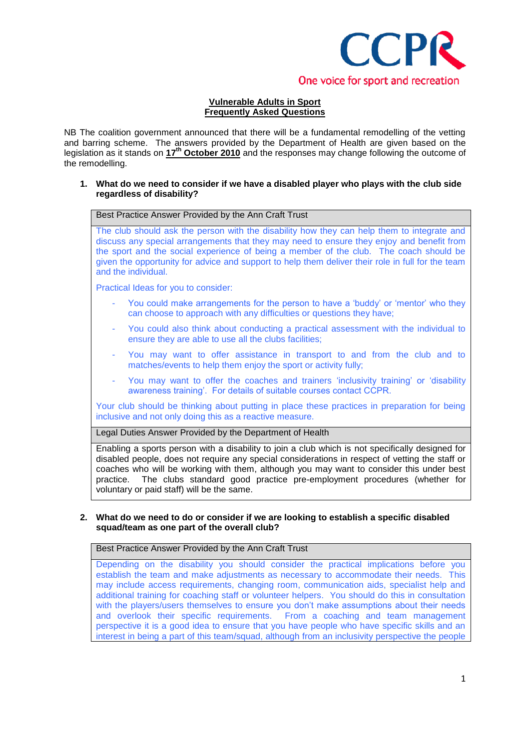

## **Vulnerable Adults in Sport Frequently Asked Questions**

NB The coalition government announced that there will be a fundamental remodelling of the vetting and barring scheme. The answers provided by the Department of Health are given based on the legislation as it stands on **17th October 2010** and the responses may change following the outcome of the remodelling.

### **1. What do we need to consider if we have a disabled player who plays with the club side regardless of disability?**

Best Practice Answer Provided by the Ann Craft Trust

The club should ask the person with the disability how they can help them to integrate and discuss any special arrangements that they may need to ensure they enjoy and benefit from the sport and the social experience of being a member of the club. The coach should be given the opportunity for advice and support to help them deliver their role in full for the team and the individual.

Practical Ideas for you to consider:

- You could make arrangements for the person to have a 'buddy' or 'mentor' who they can choose to approach with any difficulties or questions they have;
- You could also think about conducting a practical assessment with the individual to ensure they are able to use all the clubs facilities;
- You may want to offer assistance in transport to and from the club and to matches/events to help them enjoy the sport or activity fully;
- You may want to offer the coaches and trainers 'inclusivity training' or 'disability awareness training'. For details of suitable courses contact CCPR.

Your club should be thinking about putting in place these practices in preparation for being inclusive and not only doing this as a reactive measure.

Legal Duties Answer Provided by the Department of Health

Enabling a sports person with a disability to join a club which is not specifically designed for disabled people, does not require any special considerations in respect of vetting the staff or coaches who will be working with them, although you may want to consider this under best practice. The clubs standard good practice pre-employment procedures (whether for voluntary or paid staff) will be the same.

#### **2. What do we need to do or consider if we are looking to establish a specific disabled squad/team as one part of the overall club?**

Best Practice Answer Provided by the Ann Craft Trust

Depending on the disability you should consider the practical implications before you establish the team and make adjustments as necessary to accommodate their needs. This may include access requirements, changing room, communication aids, specialist help and additional training for coaching staff or volunteer helpers. You should do this in consultation with the players/users themselves to ensure you don't make assumptions about their needs and overlook their specific requirements. From a coaching and team management perspective it is a good idea to ensure that you have people who have specific skills and an interest in being a part of this team/squad, although from an inclusivity perspective the people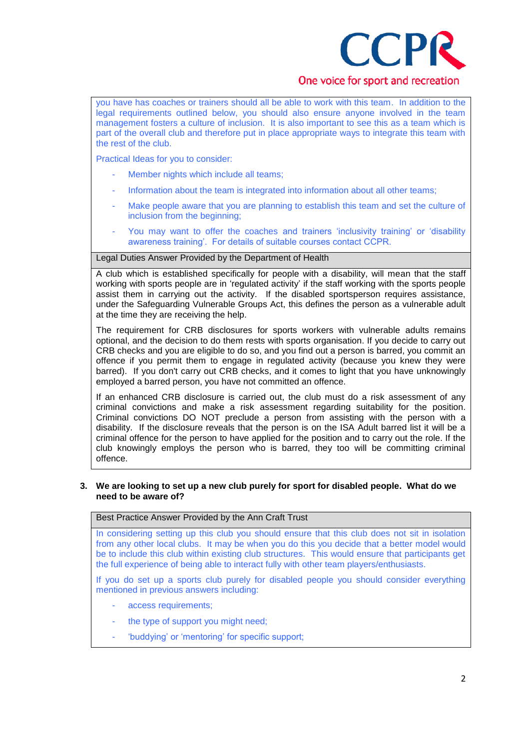

# One voice for sport and recreation

you have has coaches or trainers should all be able to work with this team. In addition to the legal requirements outlined below, you should also ensure anyone involved in the team management fosters a culture of inclusion. It is also important to see this as a team which is part of the overall club and therefore put in place appropriate ways to integrate this team with the rest of the club.

Practical Ideas for you to consider:

- Member nights which include all teams;
- Information about the team is integrated into information about all other teams;
- Make people aware that you are planning to establish this team and set the culture of inclusion from the beginning;
- You may want to offer the coaches and trainers 'inclusivity training' or 'disability awareness training'. For details of suitable courses contact CCPR.

## Legal Duties Answer Provided by the Department of Health

A club which is established specifically for people with a disability, will mean that the staff working with sports people are in 'regulated activity' if the staff working with the sports people assist them in carrying out the activity. If the disabled sportsperson requires assistance, under the Safeguarding Vulnerable Groups Act, this defines the person as a vulnerable adult at the time they are receiving the help.

The requirement for CRB disclosures for sports workers with vulnerable adults remains optional, and the decision to do them rests with sports organisation. If you decide to carry out CRB checks and you are eligible to do so, and you find out a person is barred, you commit an offence if you permit them to engage in regulated activity (because you knew they were barred). If you don't carry out CRB checks, and it comes to light that you have unknowingly employed a barred person, you have not committed an offence.

If an enhanced CRB disclosure is carried out, the club must do a risk assessment of any criminal convictions and make a risk assessment regarding suitability for the position. Criminal convictions DO NOT preclude a person from assisting with the person with a disability. If the disclosure reveals that the person is on the ISA Adult barred list it will be a criminal offence for the person to have applied for the position and to carry out the role. If the club knowingly employs the person who is barred, they too will be committing criminal offence.

#### **3. We are looking to set up a new club purely for sport for disabled people. What do we need to be aware of?**

Best Practice Answer Provided by the Ann Craft Trust

In considering setting up this club you should ensure that this club does not sit in isolation from any other local clubs. It may be when you do this you decide that a better model would be to include this club within existing club structures. This would ensure that participants get the full experience of being able to interact fully with other team players/enthusiasts.

If you do set up a sports club purely for disabled people you should consider everything mentioned in previous answers including:

- access requirements;
- the type of support you might need;
- 'buddying' or 'mentoring' for specific support;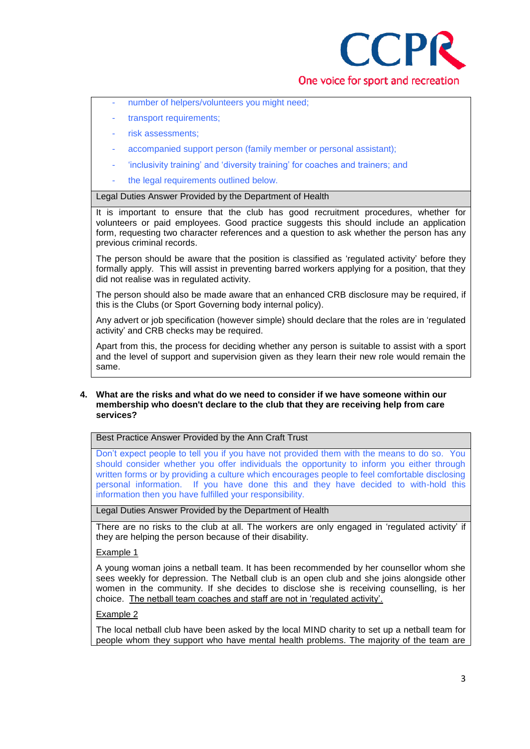

- number of helpers/volunteers you might need;
- transport requirements;
- risk assessments;
- accompanied support person (family member or personal assistant);
- 'inclusivity training' and 'diversity training' for coaches and trainers; and
- the legal requirements outlined below.

Legal Duties Answer Provided by the Department of Health

It is important to ensure that the club has good recruitment procedures, whether for volunteers or paid employees. Good practice suggests this should include an application form, requesting two character references and a question to ask whether the person has any previous criminal records.

The person should be aware that the position is classified as 'regulated activity' before they formally apply. This will assist in preventing barred workers applying for a position, that they did not realise was in regulated activity.

The person should also be made aware that an enhanced CRB disclosure may be required, if this is the Clubs (or Sport Governing body internal policy).

Any advert or job specification (however simple) should declare that the roles are in 'regulated activity' and CRB checks may be required.

Apart from this, the process for deciding whether any person is suitable to assist with a sport and the level of support and supervision given as they learn their new role would remain the same.

#### **4. What are the risks and what do we need to consider if we have someone within our membership who doesn't declare to the club that they are receiving help from care services?**

Best Practice Answer Provided by the Ann Craft Trust

Don't expect people to tell you if you have not provided them with the means to do so. You should consider whether you offer individuals the opportunity to inform you either through written forms or by providing a culture which encourages people to feel comfortable disclosing personal information. If you have done this and they have decided to with-hold this information then you have fulfilled your responsibility.

Legal Duties Answer Provided by the Department of Health

There are no risks to the club at all. The workers are only engaged in 'regulated activity' if they are helping the person because of their disability.

## Example 1

A young woman joins a netball team. It has been recommended by her counsellor whom she sees weekly for depression. The Netball club is an open club and she joins alongside other women in the community. If she decides to disclose she is receiving counselling, is her choice. The netball team coaches and staff are not in 'regulated activity'.

#### Example 2

The local netball club have been asked by the local MIND charity to set up a netball team for people whom they support who have mental health problems. The majority of the team are